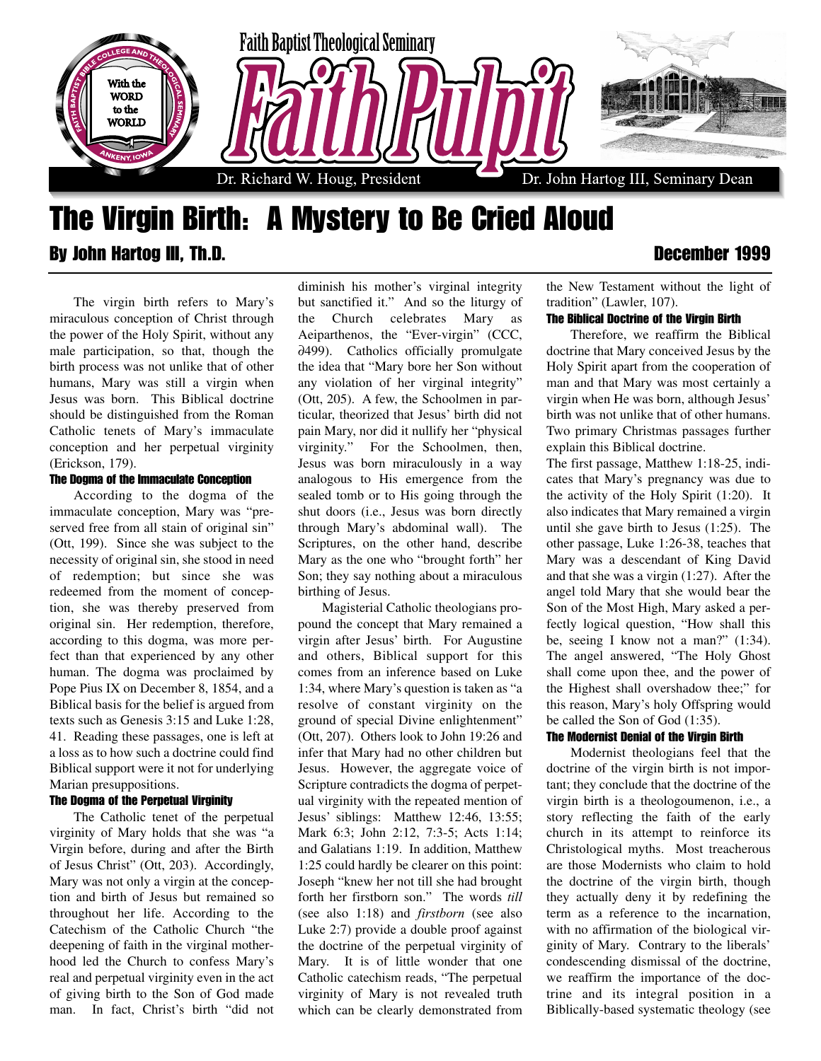

# The Virgin Birth: A Mystery to Be Cried Aloud

# By John Hartog III, Th.D. December 1999

The virgin birth refers to Mary's miraculous conception of Christ through the power of the Holy Spirit, without any male participation, so that, though the birth process was not unlike that of other humans, Mary was still a virgin when Jesus was born. This Biblical doctrine should be distinguished from the Roman Catholic tenets of Mary's immaculate conception and her perpetual virginity (Erickson, 179).

# The Dogma of the Immaculate Conception

According to the dogma of the immaculate conception, Mary was "preserved free from all stain of original sin" (Ott, 199). Since she was subject to the necessity of original sin, she stood in need of redemption; but since she was redeemed from the moment of conception, she was thereby preserved from original sin. Her redemption, therefore, according to this dogma, was more perfect than that experienced by any other human. The dogma was proclaimed by Pope Pius IX on December 8, 1854, and a Biblical basis for the belief is argued from texts such as Genesis 3:15 and Luke 1:28, 41. Reading these passages, one is left at a loss as to how such a doctrine could find Biblical support were it not for underlying Marian presuppositions.

# The Dogma of the Perpetual Virginity

The Catholic tenet of the perpetual virginity of Mary holds that she was "a Virgin before, during and after the Birth of Jesus Christ" (Ott, 203). Accordingly, Mary was not only a virgin at the conception and birth of Jesus but remained so throughout her life. According to the Catechism of the Catholic Church "the deepening of faith in the virginal motherhood led the Church to confess Mary's real and perpetual virginity even in the act of giving birth to the Son of God made man. In fact, Christ's birth "did not

diminish his mother's virginal integrity but sanctified it." And so the liturgy of the Church celebrates Mary as Aeiparthenos, the "Ever-virgin" (CCC, ∂499). Catholics officially promulgate the idea that "Mary bore her Son without any violation of her virginal integrity" (Ott, 205). A few, the Schoolmen in particular, theorized that Jesus' birth did not pain Mary, nor did it nullify her "physical virginity." For the Schoolmen, then, Jesus was born miraculously in a way analogous to His emergence from the sealed tomb or to His going through the shut doors (i.e., Jesus was born directly through Mary's abdominal wall). The Scriptures, on the other hand, describe Mary as the one who "brought forth" her Son; they say nothing about a miraculous birthing of Jesus.

Magisterial Catholic theologians propound the concept that Mary remained a virgin after Jesus' birth. For Augustine and others, Biblical support for this comes from an inference based on Luke 1:34, where Mary's question is taken as "a resolve of constant virginity on the ground of special Divine enlightenment" (Ott, 207). Others look to John 19:26 and infer that Mary had no other children but Jesus. However, the aggregate voice of Scripture contradicts the dogma of perpetual virginity with the repeated mention of Jesus' siblings: Matthew 12:46, 13:55; Mark 6:3; John 2:12, 7:3-5; Acts 1:14; and Galatians 1:19. In addition, Matthew 1:25 could hardly be clearer on this point: Joseph "knew her not till she had brought forth her firstborn son." The words *till* (see also 1:18) and *firstborn* (see also Luke 2:7) provide a double proof against the doctrine of the perpetual virginity of Mary. It is of little wonder that one Catholic catechism reads, "The perpetual virginity of Mary is not revealed truth which can be clearly demonstrated from

the New Testament without the light of tradition" (Lawler, 107).

# The Biblical Doctrine of the Virgin Birth

Therefore, we reaffirm the Biblical doctrine that Mary conceived Jesus by the Holy Spirit apart from the cooperation of man and that Mary was most certainly a virgin when He was born, although Jesus' birth was not unlike that of other humans. Two primary Christmas passages further explain this Biblical doctrine.

The first passage, Matthew 1:18-25, indicates that Mary's pregnancy was due to the activity of the Holy Spirit (1:20). It also indicates that Mary remained a virgin until she gave birth to Jesus (1:25). The other passage, Luke 1:26-38, teaches that Mary was a descendant of King David and that she was a virgin (1:27). After the angel told Mary that she would bear the Son of the Most High, Mary asked a perfectly logical question, "How shall this be, seeing I know not a man?" (1:34). The angel answered, "The Holy Ghost shall come upon thee, and the power of the Highest shall overshadow thee;" for this reason, Mary's holy Offspring would be called the Son of God (1:35).

# The Modernist Denial of the Virgin Birth

Modernist theologians feel that the doctrine of the virgin birth is not important; they conclude that the doctrine of the virgin birth is a theologoumenon, i.e., a story reflecting the faith of the early church in its attempt to reinforce its Christological myths. Most treacherous are those Modernists who claim to hold the doctrine of the virgin birth, though they actually deny it by redefining the term as a reference to the incarnation, with no affirmation of the biological virginity of Mary. Contrary to the liberals' condescending dismissal of the doctrine, we reaffirm the importance of the doctrine and its integral position in a Biblically-based systematic theology (see